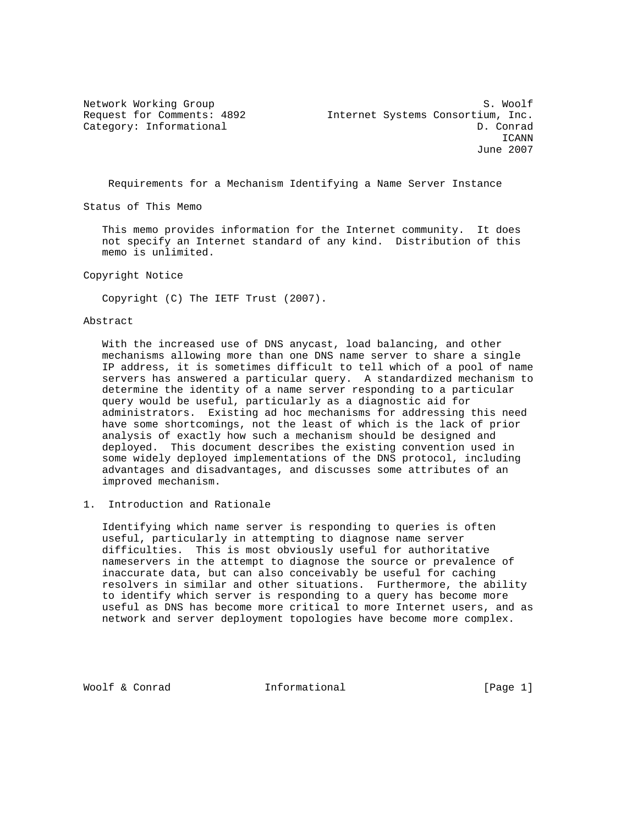Network Working Group S. Woolf Request for Comments: 4892 Internet Systems Consortium, Inc. Category: Informational D. Conrad ICANN June 2007

Requirements for a Mechanism Identifying a Name Server Instance

Status of This Memo

 This memo provides information for the Internet community. It does not specify an Internet standard of any kind. Distribution of this memo is unlimited.

Copyright Notice

Copyright (C) The IETF Trust (2007).

### Abstract

 With the increased use of DNS anycast, load balancing, and other mechanisms allowing more than one DNS name server to share a single IP address, it is sometimes difficult to tell which of a pool of name servers has answered a particular query. A standardized mechanism to determine the identity of a name server responding to a particular query would be useful, particularly as a diagnostic aid for administrators. Existing ad hoc mechanisms for addressing this need have some shortcomings, not the least of which is the lack of prior analysis of exactly how such a mechanism should be designed and deployed. This document describes the existing convention used in some widely deployed implementations of the DNS protocol, including advantages and disadvantages, and discusses some attributes of an improved mechanism.

1. Introduction and Rationale

 Identifying which name server is responding to queries is often useful, particularly in attempting to diagnose name server difficulties. This is most obviously useful for authoritative nameservers in the attempt to diagnose the source or prevalence of inaccurate data, but can also conceivably be useful for caching resolvers in similar and other situations. Furthermore, the ability to identify which server is responding to a query has become more useful as DNS has become more critical to more Internet users, and as network and server deployment topologies have become more complex.

Woolf & Conrad **Informational** [Page 1]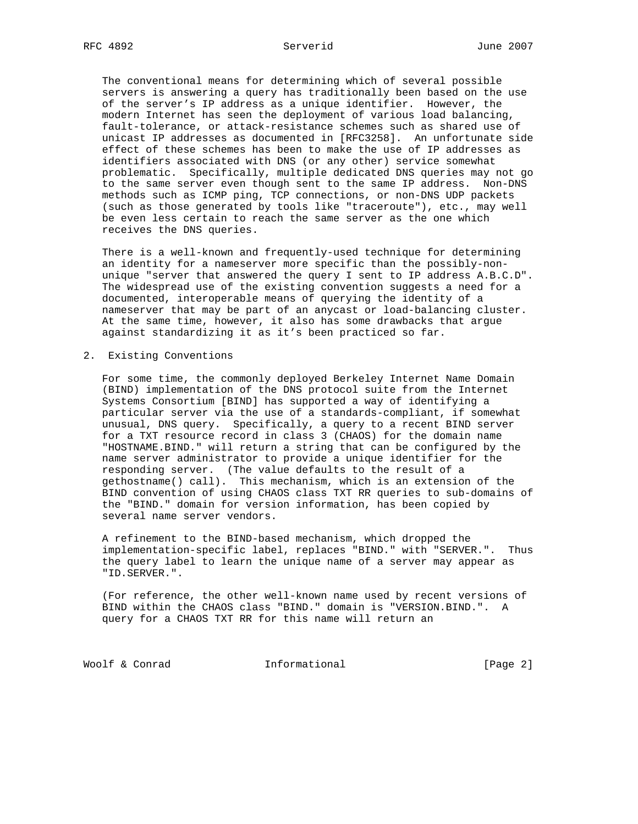The conventional means for determining which of several possible servers is answering a query has traditionally been based on the use of the server's IP address as a unique identifier. However, the modern Internet has seen the deployment of various load balancing, fault-tolerance, or attack-resistance schemes such as shared use of unicast IP addresses as documented in [RFC3258]. An unfortunate side effect of these schemes has been to make the use of IP addresses as identifiers associated with DNS (or any other) service somewhat problematic. Specifically, multiple dedicated DNS queries may not go to the same server even though sent to the same IP address. Non-DNS methods such as ICMP ping, TCP connections, or non-DNS UDP packets (such as those generated by tools like "traceroute"), etc., may well be even less certain to reach the same server as the one which receives the DNS queries.

 There is a well-known and frequently-used technique for determining an identity for a nameserver more specific than the possibly-non unique "server that answered the query I sent to IP address A.B.C.D". The widespread use of the existing convention suggests a need for a documented, interoperable means of querying the identity of a nameserver that may be part of an anycast or load-balancing cluster. At the same time, however, it also has some drawbacks that argue against standardizing it as it's been practiced so far.

2. Existing Conventions

 For some time, the commonly deployed Berkeley Internet Name Domain (BIND) implementation of the DNS protocol suite from the Internet Systems Consortium [BIND] has supported a way of identifying a particular server via the use of a standards-compliant, if somewhat unusual, DNS query. Specifically, a query to a recent BIND server for a TXT resource record in class 3 (CHAOS) for the domain name "HOSTNAME.BIND." will return a string that can be configured by the name server administrator to provide a unique identifier for the responding server. (The value defaults to the result of a gethostname() call). This mechanism, which is an extension of the BIND convention of using CHAOS class TXT RR queries to sub-domains of the "BIND." domain for version information, has been copied by several name server vendors.

 A refinement to the BIND-based mechanism, which dropped the implementation-specific label, replaces "BIND." with "SERVER.". Thus the query label to learn the unique name of a server may appear as "ID.SERVER.".

 (For reference, the other well-known name used by recent versions of BIND within the CHAOS class "BIND." domain is "VERSION.BIND.". A query for a CHAOS TXT RR for this name will return an

Woolf & Conrad **Informational Informational** [Page 2]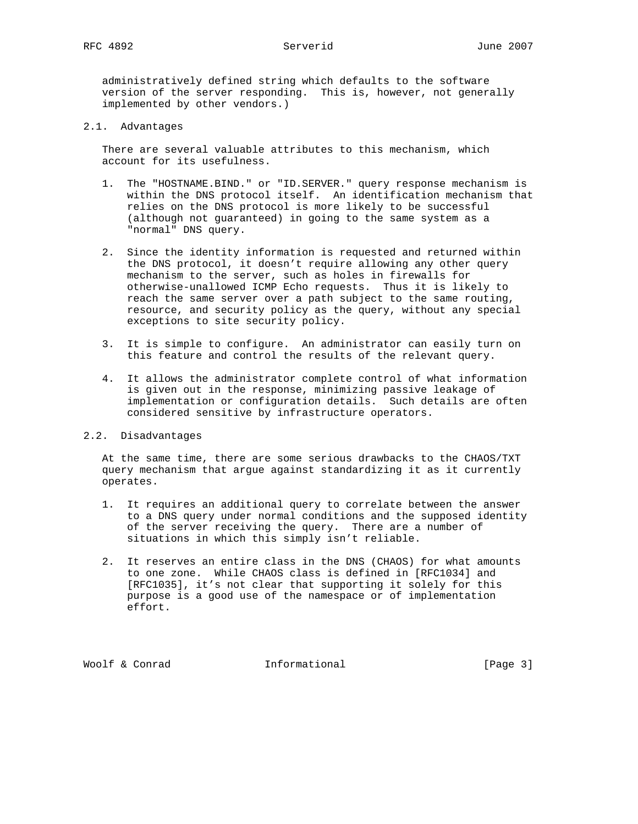administratively defined string which defaults to the software version of the server responding. This is, however, not generally implemented by other vendors.)

## 2.1. Advantages

 There are several valuable attributes to this mechanism, which account for its usefulness.

- 1. The "HOSTNAME.BIND." or "ID.SERVER." query response mechanism is within the DNS protocol itself. An identification mechanism that relies on the DNS protocol is more likely to be successful (although not guaranteed) in going to the same system as a "normal" DNS query.
- 2. Since the identity information is requested and returned within the DNS protocol, it doesn't require allowing any other query mechanism to the server, such as holes in firewalls for otherwise-unallowed ICMP Echo requests. Thus it is likely to reach the same server over a path subject to the same routing, resource, and security policy as the query, without any special exceptions to site security policy.
- 3. It is simple to configure. An administrator can easily turn on this feature and control the results of the relevant query.
- 4. It allows the administrator complete control of what information is given out in the response, minimizing passive leakage of implementation or configuration details. Such details are often considered sensitive by infrastructure operators.

# 2.2. Disadvantages

 At the same time, there are some serious drawbacks to the CHAOS/TXT query mechanism that argue against standardizing it as it currently operates.

- 1. It requires an additional query to correlate between the answer to a DNS query under normal conditions and the supposed identity of the server receiving the query. There are a number of situations in which this simply isn't reliable.
- 2. It reserves an entire class in the DNS (CHAOS) for what amounts to one zone. While CHAOS class is defined in [RFC1034] and [RFC1035], it's not clear that supporting it solely for this purpose is a good use of the namespace or of implementation effort.

Woolf & Conrad **Informational** [Page 3]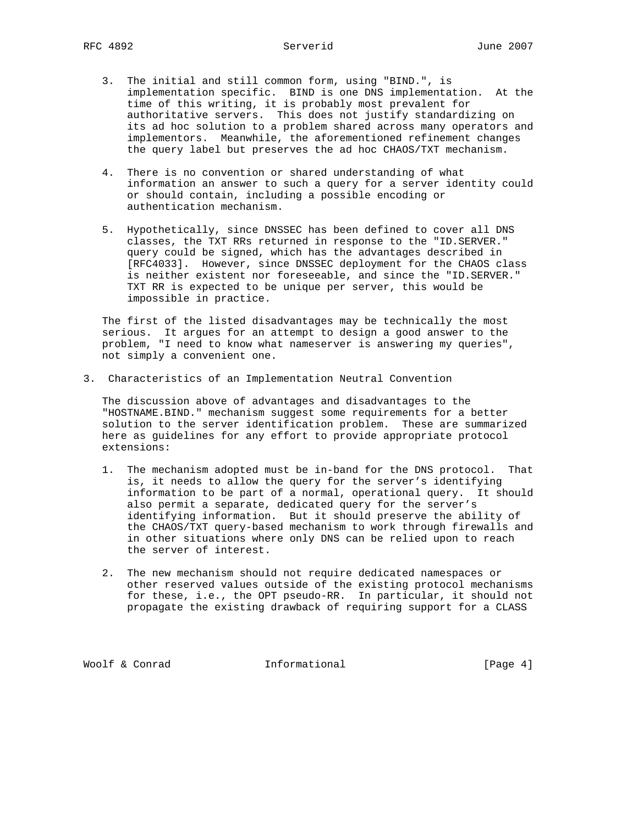- 3. The initial and still common form, using "BIND.", is implementation specific. BIND is one DNS implementation. At the time of this writing, it is probably most prevalent for authoritative servers. This does not justify standardizing on its ad hoc solution to a problem shared across many operators and implementors. Meanwhile, the aforementioned refinement changes the query label but preserves the ad hoc CHAOS/TXT mechanism.
- 4. There is no convention or shared understanding of what information an answer to such a query for a server identity could or should contain, including a possible encoding or authentication mechanism.
- 5. Hypothetically, since DNSSEC has been defined to cover all DNS classes, the TXT RRs returned in response to the "ID.SERVER." query could be signed, which has the advantages described in [RFC4033]. However, since DNSSEC deployment for the CHAOS class is neither existent nor foreseeable, and since the "ID.SERVER." TXT RR is expected to be unique per server, this would be impossible in practice.

 The first of the listed disadvantages may be technically the most serious. It argues for an attempt to design a good answer to the problem, "I need to know what nameserver is answering my queries", not simply a convenient one.

3. Characteristics of an Implementation Neutral Convention

 The discussion above of advantages and disadvantages to the "HOSTNAME.BIND." mechanism suggest some requirements for a better solution to the server identification problem. These are summarized here as guidelines for any effort to provide appropriate protocol extensions:

- 1. The mechanism adopted must be in-band for the DNS protocol. That is, it needs to allow the query for the server's identifying information to be part of a normal, operational query. It should also permit a separate, dedicated query for the server's identifying information. But it should preserve the ability of the CHAOS/TXT query-based mechanism to work through firewalls and in other situations where only DNS can be relied upon to reach the server of interest.
- 2. The new mechanism should not require dedicated namespaces or other reserved values outside of the existing protocol mechanisms for these, i.e., the OPT pseudo-RR. In particular, it should not propagate the existing drawback of requiring support for a CLASS

Woolf & Conrad **Informational** [Page 4]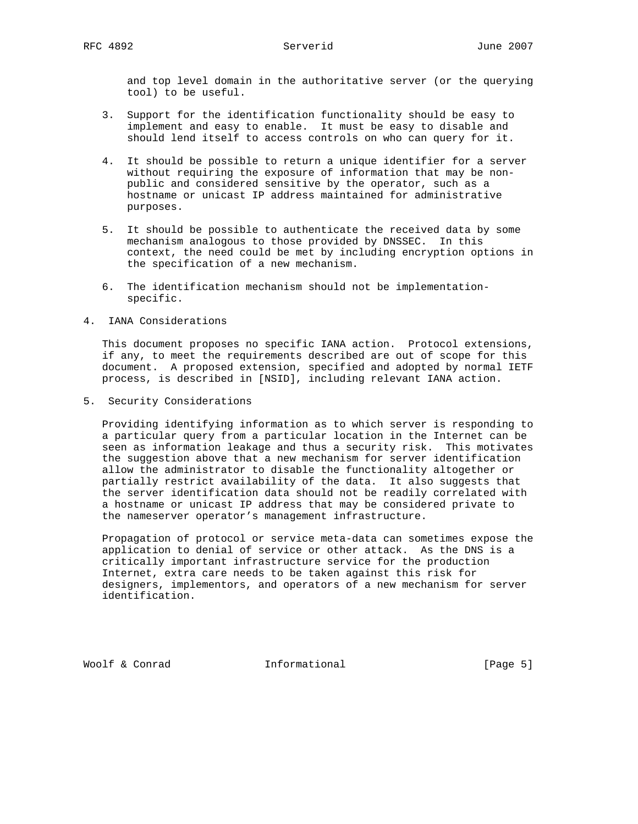and top level domain in the authoritative server (or the querying tool) to be useful.

- 3. Support for the identification functionality should be easy to implement and easy to enable. It must be easy to disable and should lend itself to access controls on who can query for it.
- 4. It should be possible to return a unique identifier for a server without requiring the exposure of information that may be non public and considered sensitive by the operator, such as a hostname or unicast IP address maintained for administrative purposes.
- 5. It should be possible to authenticate the received data by some mechanism analogous to those provided by DNSSEC. In this context, the need could be met by including encryption options in the specification of a new mechanism.
- 6. The identification mechanism should not be implementation specific.
- 4. IANA Considerations

 This document proposes no specific IANA action. Protocol extensions, if any, to meet the requirements described are out of scope for this document. A proposed extension, specified and adopted by normal IETF process, is described in [NSID], including relevant IANA action.

5. Security Considerations

 Providing identifying information as to which server is responding to a particular query from a particular location in the Internet can be seen as information leakage and thus a security risk. This motivates the suggestion above that a new mechanism for server identification allow the administrator to disable the functionality altogether or partially restrict availability of the data. It also suggests that the server identification data should not be readily correlated with a hostname or unicast IP address that may be considered private to the nameserver operator's management infrastructure.

 Propagation of protocol or service meta-data can sometimes expose the application to denial of service or other attack. As the DNS is a critically important infrastructure service for the production Internet, extra care needs to be taken against this risk for designers, implementors, and operators of a new mechanism for server identification.

Woolf & Conrad **Informational Informational** [Page 5]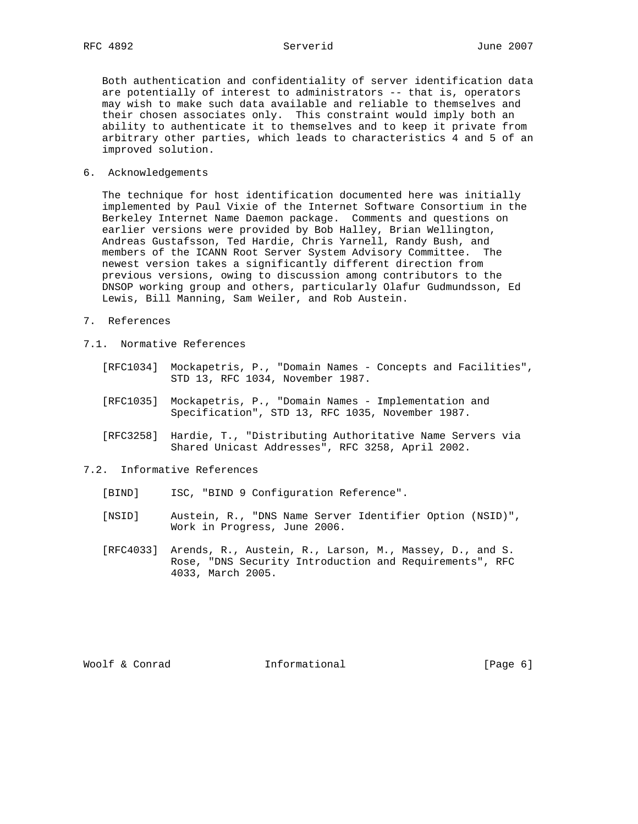Both authentication and confidentiality of server identification data are potentially of interest to administrators -- that is, operators may wish to make such data available and reliable to themselves and their chosen associates only. This constraint would imply both an ability to authenticate it to themselves and to keep it private from arbitrary other parties, which leads to characteristics 4 and 5 of an improved solution.

## 6. Acknowledgements

 The technique for host identification documented here was initially implemented by Paul Vixie of the Internet Software Consortium in the Berkeley Internet Name Daemon package. Comments and questions on earlier versions were provided by Bob Halley, Brian Wellington, Andreas Gustafsson, Ted Hardie, Chris Yarnell, Randy Bush, and members of the ICANN Root Server System Advisory Committee. The newest version takes a significantly different direction from previous versions, owing to discussion among contributors to the DNSOP working group and others, particularly Olafur Gudmundsson, Ed Lewis, Bill Manning, Sam Weiler, and Rob Austein.

- 7. References
- 7.1. Normative References
- [RFC1034] Mockapetris, P., "Domain Names Concepts and Facilities", STD 13, RFC 1034, November 1987.
	- [RFC1035] Mockapetris, P., "Domain Names Implementation and Specification", STD 13, RFC 1035, November 1987.
	- [RFC3258] Hardie, T., "Distributing Authoritative Name Servers via Shared Unicast Addresses", RFC 3258, April 2002.

## 7.2. Informative References

- [BIND] ISC, "BIND 9 Configuration Reference".
- [NSID] Austein, R., "DNS Name Server Identifier Option (NSID)", Work in Progress, June 2006.
- [RFC4033] Arends, R., Austein, R., Larson, M., Massey, D., and S. Rose, "DNS Security Introduction and Requirements", RFC 4033, March 2005.

Woolf & Conrad **Informational Informational** [Page 6]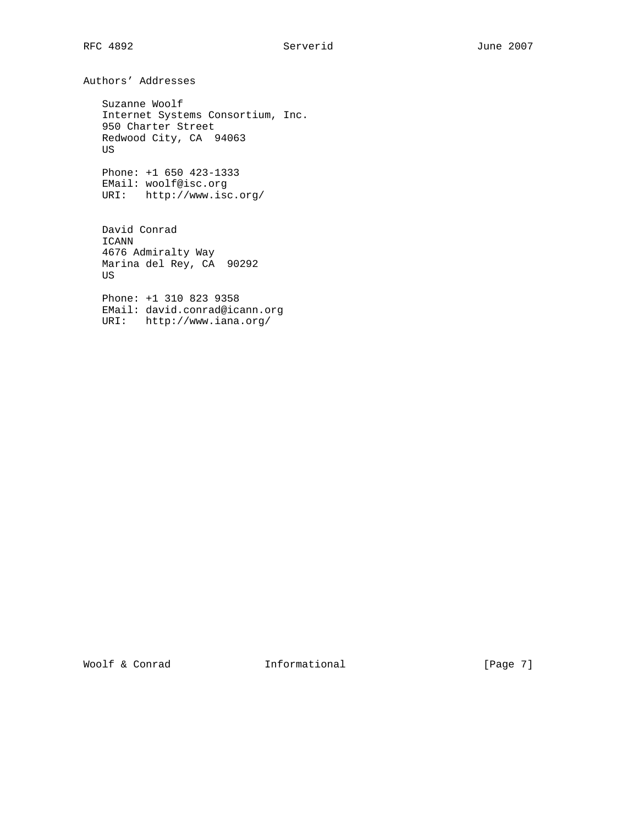Authors' Addresses

 Suzanne Woolf Internet Systems Consortium, Inc. 950 Charter Street Redwood City, CA 94063 US

 Phone: +1 650 423-1333 EMail: woolf@isc.org URI: http://www.isc.org/

 David Conrad ICANN 4676 Admiralty Way Marina del Rey, CA 90292 US

 Phone: +1 310 823 9358 EMail: david.conrad@icann.org URI: http://www.iana.org/